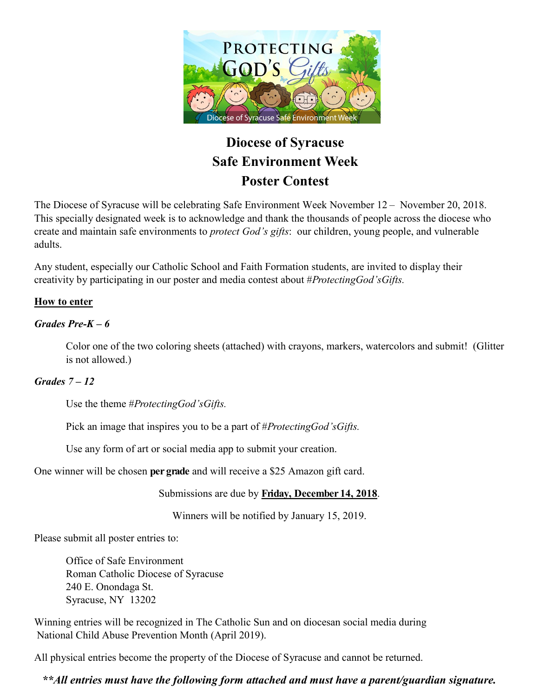

## **Diocese of Syracuse Safe Environment Week Poster Contest**

The Diocese of Syracuse will be celebrating Safe Environment Week November 12 – November 20, 2018. This specially designated week is to acknowledge and thank the thousands of people across the diocese who create and maintain safe environments to *protect God's gifts*:our children, young people, and vulnerable adults.

Any student, especially our Catholic School and Faith Formation students, are invited to display their creativity by participating in our poster and media contest about #*ProtectingGod'sGifts.*

## **How to enter**

## *Grades Pre-K – 6*

Color one of the two coloring sheets (attached) with crayons, markers, watercolors and submit! (Glitter is not allowed.)

## *Grades 7 – 12*

Use the theme #*ProtectingGod'sGifts.*

Pick an image that inspires you to be a part of #*ProtectingGod'sGifts.*

Use any form of art or social media app to submit your creation.

One winner will be chosen **per grade** and will receive a \$25 Amazon gift card.

Submissions are due by **Friday, December 14, 2018**.

Winners will be notified by January 15, 2019.

Please submit all poster entries to:

Office of Safe Environment Roman Catholic Diocese of Syracuse 240 E. Onondaga St. Syracuse, NY 13202

Winning entries will be recognized in The Catholic Sun and on diocesan social media during National Child Abuse Prevention Month (April 2019).

All physical entries become the property of the Diocese of Syracuse and cannot be returned.

*\*\*All entries must have the following form attached and must have a parent/guardian signature.*